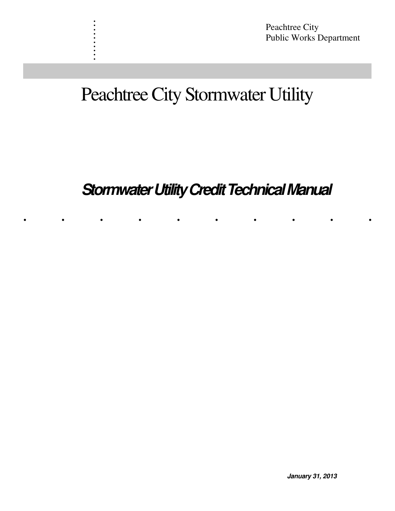# Peachtree City Stormwater Utility

. . . . . . . . . .

# **Stormwater Utility Credit Technical Manual**

. . . . . . . . . .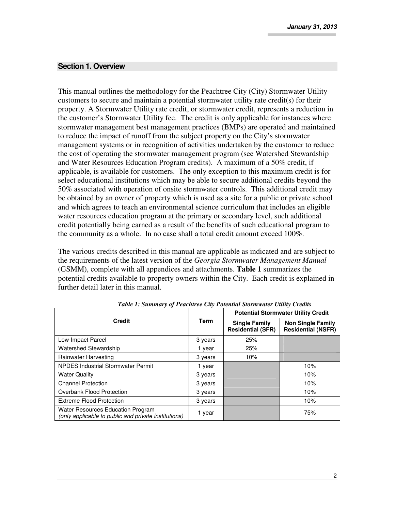#### **Section 1. Overview**

This manual outlines the methodology for the Peachtree City (City) Stormwater Utility customers to secure and maintain a potential stormwater utility rate credit(s) for their property. A Stormwater Utility rate credit, or stormwater credit, represents a reduction in the customer's Stormwater Utility fee. The credit is only applicable for instances where stormwater management best management practices (BMPs) are operated and maintained to reduce the impact of runoff from the subject property on the City's stormwater management systems or in recognition of activities undertaken by the customer to reduce the cost of operating the stormwater management program (see Watershed Stewardship and Water Resources Education Program credits). A maximum of a 50% credit, if applicable, is available for customers. The only exception to this maximum credit is for select educational institutions which may be able to secure additional credits beyond the 50% associated with operation of onsite stormwater controls. This additional credit may be obtained by an owner of property which is used as a site for a public or private school and which agrees to teach an environmental science curriculum that includes an eligible water resources education program at the primary or secondary level, such additional credit potentially being earned as a result of the benefits of such educational program to the community as a whole. In no case shall a total credit amount exceed 100%.

The various credits described in this manual are applicable as indicated and are subject to the requirements of the latest version of the *Georgia Stormwater Management Manual*  (GSMM), complete with all appendices and attachments. **Table 1** summarizes the potential credits available to property owners within the City. Each credit is explained in further detail later in this manual.

|                                                                                           |             | <b>Potential Stormwater Utility Credit</b> |                                                       |  |
|-------------------------------------------------------------------------------------------|-------------|--------------------------------------------|-------------------------------------------------------|--|
| <b>Credit</b>                                                                             | <b>Term</b> |                                            | <b>Non Single Family</b><br><b>Residential (NSFR)</b> |  |
| Low-Impact Parcel                                                                         | 3 years     | 25%                                        |                                                       |  |
| <b>Watershed Stewardship</b>                                                              | 1 year      | 25%                                        |                                                       |  |
| Rainwater Harvesting                                                                      | 3 years     | 10%                                        |                                                       |  |
| <b>NPDES Industrial Stormwater Permit</b>                                                 | 1 year      |                                            | 10%                                                   |  |
| <b>Water Quality</b>                                                                      | 3 years     |                                            | 10%                                                   |  |
| <b>Channel Protection</b>                                                                 | 3 years     |                                            | 10%                                                   |  |
| Overbank Flood Protection                                                                 | 3 years     |                                            | 10%                                                   |  |
| <b>Extreme Flood Protection</b>                                                           | 3 years     |                                            | 10%                                                   |  |
| Water Resources Education Program<br>(only applicable to public and private institutions) | 1 year      |                                            | 75%                                                   |  |

*Table 1: Summary of Peachtree City Potential Stormwater Utility Credits*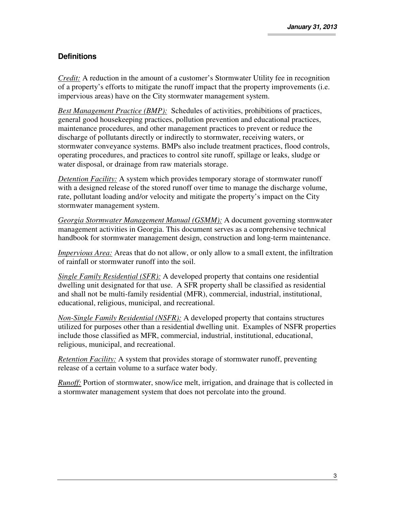## **Definitions**

*Credit:* A reduction in the amount of a customer's Stormwater Utility fee in recognition of a property's efforts to mitigate the runoff impact that the property improvements (i.e. impervious areas) have on the City stormwater management system.

*Best Management Practice (BMP):* Schedules of activities, prohibitions of practices, general good housekeeping practices, pollution prevention and educational practices, maintenance procedures, and other management practices to prevent or reduce the discharge of pollutants directly or indirectly to stormwater, receiving waters, or stormwater conveyance systems. BMPs also include treatment practices, flood controls, operating procedures, and practices to control site runoff, spillage or leaks, sludge or water disposal, or drainage from raw materials storage.

*Detention Facility:* A system which provides temporary storage of stormwater runoff with a designed release of the stored runoff over time to manage the discharge volume, rate, pollutant loading and/or velocity and mitigate the property's impact on the City stormwater management system.

*Georgia Stormwater Management Manual (GSMM):* A document governing stormwater management activities in Georgia. This document serves as a comprehensive technical handbook for stormwater management design, construction and long-term maintenance.

*Impervious Area:* Areas that do not allow, or only allow to a small extent, the infiltration of rainfall or stormwater runoff into the soil.

*Single Family Residential (SFR):* A developed property that contains one residential dwelling unit designated for that use. A SFR property shall be classified as residential and shall not be multi-family residential (MFR), commercial, industrial, institutional, educational, religious, municipal, and recreational.

*Non-Single Family Residential (NSFR):* A developed property that contains structures utilized for purposes other than a residential dwelling unit. Examples of NSFR properties include those classified as MFR, commercial, industrial, institutional, educational, religious, municipal, and recreational.

*Retention Facility:* A system that provides storage of stormwater runoff, preventing release of a certain volume to a surface water body.

*Runoff:* Portion of stormwater, snow/ice melt, irrigation, and drainage that is collected in a stormwater management system that does not percolate into the ground.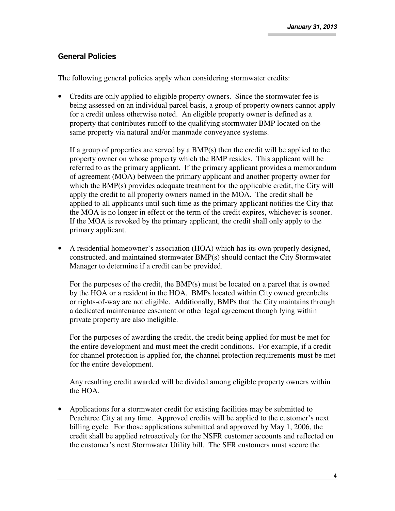## **General Policies**

The following general policies apply when considering stormwater credits:

• Credits are only applied to eligible property owners. Since the stormwater fee is being assessed on an individual parcel basis, a group of property owners cannot apply for a credit unless otherwise noted. An eligible property owner is defined as a property that contributes runoff to the qualifying stormwater BMP located on the same property via natural and/or manmade conveyance systems.

If a group of properties are served by a BMP(s) then the credit will be applied to the property owner on whose property which the BMP resides. This applicant will be referred to as the primary applicant. If the primary applicant provides a memorandum of agreement (MOA) between the primary applicant and another property owner for which the BMP(s) provides adequate treatment for the applicable credit, the City will apply the credit to all property owners named in the MOA. The credit shall be applied to all applicants until such time as the primary applicant notifies the City that the MOA is no longer in effect or the term of the credit expires, whichever is sooner. If the MOA is revoked by the primary applicant, the credit shall only apply to the primary applicant.

• A residential homeowner's association (HOA) which has its own properly designed, constructed, and maintained stormwater BMP(s) should contact the City Stormwater Manager to determine if a credit can be provided.

For the purposes of the credit, the BMP(s) must be located on a parcel that is owned by the HOA or a resident in the HOA. BMPs located within City owned greenbelts or rights-of-way are not eligible. Additionally, BMPs that the City maintains through a dedicated maintenance easement or other legal agreement though lying within private property are also ineligible.

For the purposes of awarding the credit, the credit being applied for must be met for the entire development and must meet the credit conditions. For example, if a credit for channel protection is applied for, the channel protection requirements must be met for the entire development.

Any resulting credit awarded will be divided among eligible property owners within the HOA.

• Applications for a stormwater credit for existing facilities may be submitted to Peachtree City at any time. Approved credits will be applied to the customer's next billing cycle. For those applications submitted and approved by May 1, 2006, the credit shall be applied retroactively for the NSFR customer accounts and reflected on the customer's next Stormwater Utility bill. The SFR customers must secure the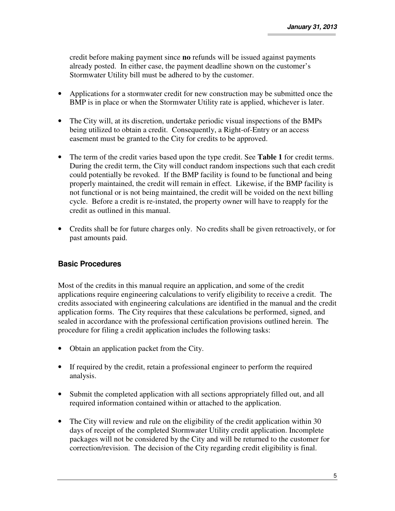credit before making payment since **no** refunds will be issued against payments already posted. In either case, the payment deadline shown on the customer's Stormwater Utility bill must be adhered to by the customer.

- Applications for a stormwater credit for new construction may be submitted once the BMP is in place or when the Stormwater Utility rate is applied, whichever is later.
- The City will, at its discretion, undertake periodic visual inspections of the BMPs being utilized to obtain a credit. Consequently, a Right-of-Entry or an access easement must be granted to the City for credits to be approved.
- The term of the credit varies based upon the type credit. See **Table 1** for credit terms. During the credit term, the City will conduct random inspections such that each credit could potentially be revoked. If the BMP facility is found to be functional and being properly maintained, the credit will remain in effect. Likewise, if the BMP facility is not functional or is not being maintained, the credit will be voided on the next billing cycle. Before a credit is re-instated, the property owner will have to reapply for the credit as outlined in this manual.
- Credits shall be for future charges only. No credits shall be given retroactively, or for past amounts paid.

## **Basic Procedures**

Most of the credits in this manual require an application, and some of the credit applications require engineering calculations to verify eligibility to receive a credit. The credits associated with engineering calculations are identified in the manual and the credit application forms. The City requires that these calculations be performed, signed, and sealed in accordance with the professional certification provisions outlined herein. The procedure for filing a credit application includes the following tasks:

- Obtain an application packet from the City.
- If required by the credit, retain a professional engineer to perform the required analysis.
- Submit the completed application with all sections appropriately filled out, and all required information contained within or attached to the application.
- The City will review and rule on the eligibility of the credit application within 30 days of receipt of the completed Stormwater Utility credit application. Incomplete packages will not be considered by the City and will be returned to the customer for correction/revision. The decision of the City regarding credit eligibility is final.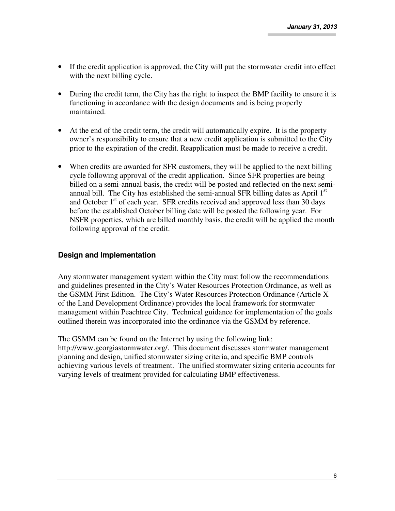- If the credit application is approved, the City will put the stormwater credit into effect with the next billing cycle.
- During the credit term, the City has the right to inspect the BMP facility to ensure it is functioning in accordance with the design documents and is being properly maintained.
- At the end of the credit term, the credit will automatically expire. It is the property owner's responsibility to ensure that a new credit application is submitted to the City prior to the expiration of the credit. Reapplication must be made to receive a credit.
- When credits are awarded for SFR customers, they will be applied to the next billing cycle following approval of the credit application. Since SFR properties are being billed on a semi-annual basis, the credit will be posted and reflected on the next semiannual bill. The City has established the semi-annual SFR billing dates as April  $1<sup>st</sup>$ and October  $1<sup>st</sup>$  of each year. SFR credits received and approved less than 30 days before the established October billing date will be posted the following year. For NSFR properties, which are billed monthly basis, the credit will be applied the month following approval of the credit.

## **Design and Implementation**

Any stormwater management system within the City must follow the recommendations and guidelines presented in the City's Water Resources Protection Ordinance, as well as the GSMM First Edition. The City's Water Resources Protection Ordinance (Article X of the Land Development Ordinance) provides the local framework for stormwater management within Peachtree City. Technical guidance for implementation of the goals outlined therein was incorporated into the ordinance via the GSMM by reference.

The GSMM can be found on the Internet by using the following link: http://www.georgiastormwater.org/. This document discusses stormwater management planning and design, unified stormwater sizing criteria, and specific BMP controls achieving various levels of treatment. The unified stormwater sizing criteria accounts for varying levels of treatment provided for calculating BMP effectiveness.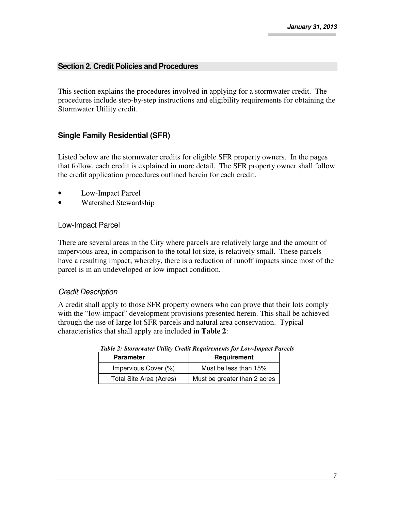### **Section 2. Credit Policies and Procedures**

This section explains the procedures involved in applying for a stormwater credit. The procedures include step-by-step instructions and eligibility requirements for obtaining the Stormwater Utility credit.

## **Single Family Residential (SFR)**

Listed below are the stormwater credits for eligible SFR property owners. In the pages that follow, each credit is explained in more detail. The SFR property owner shall follow the credit application procedures outlined herein for each credit.

- Low-Impact Parcel
- Watershed Stewardship

#### Low-Impact Parcel

There are several areas in the City where parcels are relatively large and the amount of impervious area, in comparison to the total lot size, is relatively small. These parcels have a resulting impact; whereby, there is a reduction of runoff impacts since most of the parcel is in an undeveloped or low impact condition.

#### Credit Description

A credit shall apply to those SFR property owners who can prove that their lots comply with the "low-impact" development provisions presented herein. This shall be achieved through the use of large lot SFR parcels and natural area conservation. Typical characteristics that shall apply are included in **Table 2**:

| <b>Parameter</b>        | Requirement                  |  |
|-------------------------|------------------------------|--|
| Impervious Cover (%)    | Must be less than 15%        |  |
| Total Site Area (Acres) | Must be greater than 2 acres |  |

*Table 2: Stormwater Utility Credit Requirements for Low-Impact Parcels*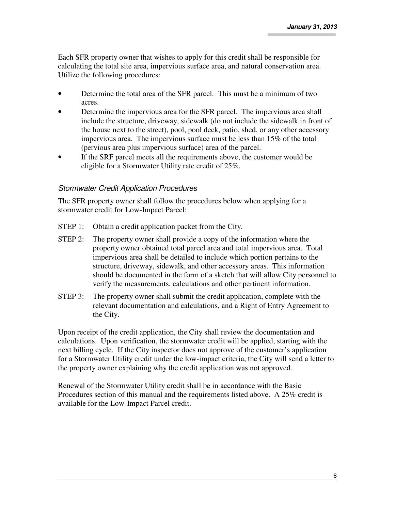Each SFR property owner that wishes to apply for this credit shall be responsible for calculating the total site area, impervious surface area, and natural conservation area. Utilize the following procedures:

- Determine the total area of the SFR parcel. This must be a minimum of two acres.
- Determine the impervious area for the SFR parcel. The impervious area shall include the structure, driveway, sidewalk (do not include the sidewalk in front of the house next to the street), pool, pool deck, patio, shed, or any other accessory impervious area. The impervious surface must be less than 15% of the total (pervious area plus impervious surface) area of the parcel.
- If the SRF parcel meets all the requirements above, the customer would be eligible for a Stormwater Utility rate credit of 25%.

## Stormwater Credit Application Procedures

The SFR property owner shall follow the procedures below when applying for a stormwater credit for Low-Impact Parcel:

- STEP 1: Obtain a credit application packet from the City.
- STEP 2: The property owner shall provide a copy of the information where the property owner obtained total parcel area and total impervious area. Total impervious area shall be detailed to include which portion pertains to the structure, driveway, sidewalk, and other accessory areas. This information should be documented in the form of a sketch that will allow City personnel to verify the measurements, calculations and other pertinent information.
- STEP 3: The property owner shall submit the credit application, complete with the relevant documentation and calculations, and a Right of Entry Agreement to the City.

Upon receipt of the credit application, the City shall review the documentation and calculations. Upon verification, the stormwater credit will be applied, starting with the next billing cycle. If the City inspector does not approve of the customer's application for a Stormwater Utility credit under the low-impact criteria, the City will send a letter to the property owner explaining why the credit application was not approved.

Renewal of the Stormwater Utility credit shall be in accordance with the Basic Procedures section of this manual and the requirements listed above. A 25% credit is available for the Low-Impact Parcel credit.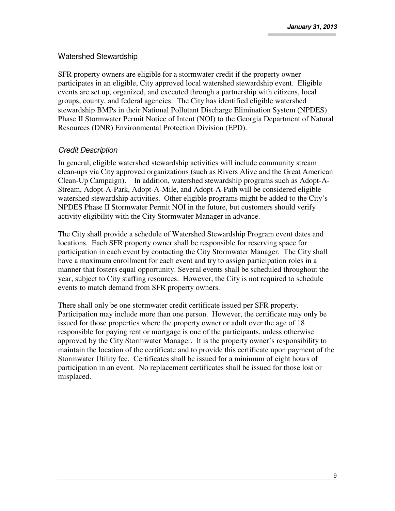## Watershed Stewardship

SFR property owners are eligible for a stormwater credit if the property owner participates in an eligible, City approved local watershed stewardship event. Eligible events are set up, organized, and executed through a partnership with citizens, local groups, county, and federal agencies. The City has identified eligible watershed stewardship BMPs in their National Pollutant Discharge Elimination System (NPDES) Phase II Stormwater Permit Notice of Intent (NOI) to the Georgia Department of Natural Resources (DNR) Environmental Protection Division (EPD).

## Credit Description

In general, eligible watershed stewardship activities will include community stream clean-ups via City approved organizations (such as Rivers Alive and the Great American Clean-Up Campaign). In addition, watershed stewardship programs such as Adopt-A-Stream, Adopt-A-Park, Adopt-A-Mile, and Adopt-A-Path will be considered eligible watershed stewardship activities. Other eligible programs might be added to the City's NPDES Phase II Stormwater Permit NOI in the future, but customers should verify activity eligibility with the City Stormwater Manager in advance.

The City shall provide a schedule of Watershed Stewardship Program event dates and locations. Each SFR property owner shall be responsible for reserving space for participation in each event by contacting the City Stormwater Manager. The City shall have a maximum enrollment for each event and try to assign participation roles in a manner that fosters equal opportunity. Several events shall be scheduled throughout the year, subject to City staffing resources. However, the City is not required to schedule events to match demand from SFR property owners.

There shall only be one stormwater credit certificate issued per SFR property. Participation may include more than one person. However, the certificate may only be issued for those properties where the property owner or adult over the age of 18 responsible for paying rent or mortgage is one of the participants, unless otherwise approved by the City Stormwater Manager. It is the property owner's responsibility to maintain the location of the certificate and to provide this certificate upon payment of the Stormwater Utility fee. Certificates shall be issued for a minimum of eight hours of participation in an event. No replacement certificates shall be issued for those lost or misplaced.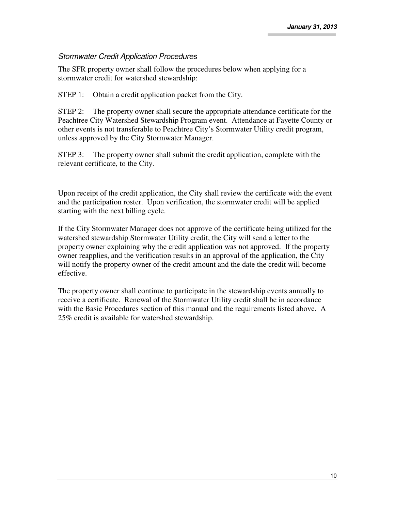## Stormwater Credit Application Procedures

The SFR property owner shall follow the procedures below when applying for a stormwater credit for watershed stewardship:

STEP 1: Obtain a credit application packet from the City.

STEP 2: The property owner shall secure the appropriate attendance certificate for the Peachtree City Watershed Stewardship Program event. Attendance at Fayette County or other events is not transferable to Peachtree City's Stormwater Utility credit program, unless approved by the City Stormwater Manager.

STEP 3: The property owner shall submit the credit application, complete with the relevant certificate, to the City.

Upon receipt of the credit application, the City shall review the certificate with the event and the participation roster. Upon verification, the stormwater credit will be applied starting with the next billing cycle.

If the City Stormwater Manager does not approve of the certificate being utilized for the watershed stewardship Stormwater Utility credit, the City will send a letter to the property owner explaining why the credit application was not approved. If the property owner reapplies, and the verification results in an approval of the application, the City will notify the property owner of the credit amount and the date the credit will become effective.

The property owner shall continue to participate in the stewardship events annually to receive a certificate. Renewal of the Stormwater Utility credit shall be in accordance with the Basic Procedures section of this manual and the requirements listed above. A 25% credit is available for watershed stewardship.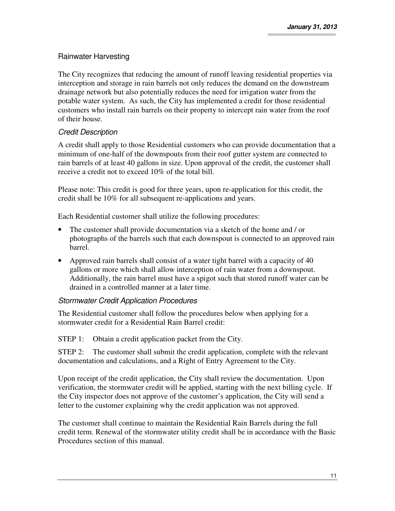## Rainwater Harvesting

The City recognizes that reducing the amount of runoff leaving residential properties via interception and storage in rain barrels not only reduces the demand on the downstream drainage network but also potentially reduces the need for irrigation water from the potable water system. As such, the City has implemented a credit for those residential customers who install rain barrels on their property to intercept rain water from the roof of their house.

## Credit Description

A credit shall apply to those Residential customers who can provide documentation that a minimum of one-half of the downspouts from their roof gutter system are connected to rain barrels of at least 40 gallons in size. Upon approval of the credit, the customer shall receive a credit not to exceed 10% of the total bill.

Please note: This credit is good for three years, upon re-application for this credit, the credit shall be 10% for all subsequent re-applications and years.

Each Residential customer shall utilize the following procedures:

- The customer shall provide documentation via a sketch of the home and / or photographs of the barrels such that each downspout is connected to an approved rain barrel.
- Approved rain barrels shall consist of a water tight barrel with a capacity of 40 gallons or more which shall allow interception of rain water from a downspout. Additionally, the rain barrel must have a spigot such that stored runoff water can be drained in a controlled manner at a later time.

## Stormwater Credit Application Procedures

The Residential customer shall follow the procedures below when applying for a stormwater credit for a Residential Rain Barrel credit:

STEP 1: Obtain a credit application packet from the City.

 STEP 2: The customer shall submit the credit application, complete with the relevant documentation and calculations, and a Right of Entry Agreement to the City.

Upon receipt of the credit application, the City shall review the documentation. Upon verification, the stormwater credit will be applied, starting with the next billing cycle. If the City inspector does not approve of the customer's application, the City will send a letter to the customer explaining why the credit application was not approved.

The customer shall continue to maintain the Residential Rain Barrels during the full credit term. Renewal of the stormwater utility credit shall be in accordance with the Basic Procedures section of this manual.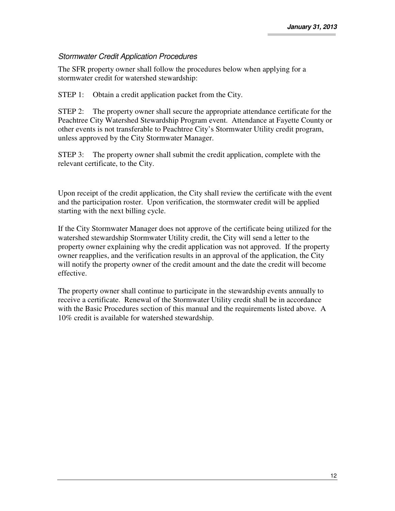## Stormwater Credit Application Procedures

The SFR property owner shall follow the procedures below when applying for a stormwater credit for watershed stewardship:

STEP 1: Obtain a credit application packet from the City.

STEP 2: The property owner shall secure the appropriate attendance certificate for the Peachtree City Watershed Stewardship Program event. Attendance at Fayette County or other events is not transferable to Peachtree City's Stormwater Utility credit program, unless approved by the City Stormwater Manager.

STEP 3: The property owner shall submit the credit application, complete with the relevant certificate, to the City.

Upon receipt of the credit application, the City shall review the certificate with the event and the participation roster. Upon verification, the stormwater credit will be applied starting with the next billing cycle.

If the City Stormwater Manager does not approve of the certificate being utilized for the watershed stewardship Stormwater Utility credit, the City will send a letter to the property owner explaining why the credit application was not approved. If the property owner reapplies, and the verification results in an approval of the application, the City will notify the property owner of the credit amount and the date the credit will become effective.

The property owner shall continue to participate in the stewardship events annually to receive a certificate. Renewal of the Stormwater Utility credit shall be in accordance with the Basic Procedures section of this manual and the requirements listed above. A 10% credit is available for watershed stewardship.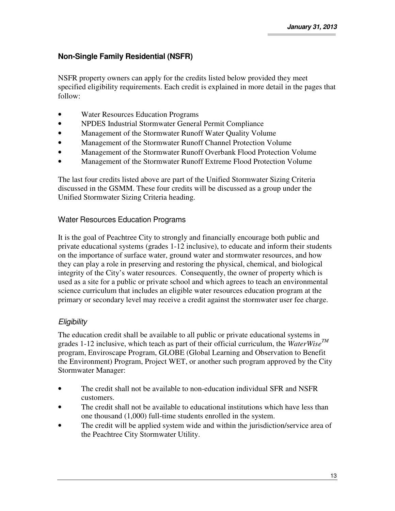## **Non-Single Family Residential (NSFR)**

NSFR property owners can apply for the credits listed below provided they meet specified eligibility requirements. Each credit is explained in more detail in the pages that follow:

- Water Resources Education Programs
- NPDES Industrial Stormwater General Permit Compliance
- Management of the Stormwater Runoff Water Quality Volume
- Management of the Stormwater Runoff Channel Protection Volume
- Management of the Stormwater Runoff Overbank Flood Protection Volume
- Management of the Stormwater Runoff Extreme Flood Protection Volume

The last four credits listed above are part of the Unified Stormwater Sizing Criteria discussed in the GSMM. These four credits will be discussed as a group under the Unified Stormwater Sizing Criteria heading.

## Water Resources Education Programs

It is the goal of Peachtree City to strongly and financially encourage both public and private educational systems (grades 1-12 inclusive), to educate and inform their students on the importance of surface water, ground water and stormwater resources, and how they can play a role in preserving and restoring the physical, chemical, and biological integrity of the City's water resources. Consequently, the owner of property which is used as a site for a public or private school and which agrees to teach an environmental science curriculum that includes an eligible water resources education program at the primary or secondary level may receive a credit against the stormwater user fee charge.

## **Eligibility**

The education credit shall be available to all public or private educational systems in grades 1-12 inclusive, which teach as part of their official curriculum, the *WaterWiseTM* program, Enviroscape Program, GLOBE (Global Learning and Observation to Benefit the Environment) Program, Project WET, or another such program approved by the City Stormwater Manager:

- The credit shall not be available to non-education individual SFR and NSFR customers.
- The credit shall not be available to educational institutions which have less than one thousand (1,000) full-time students enrolled in the system.
- The credit will be applied system wide and within the jurisdiction/service area of the Peachtree City Stormwater Utility.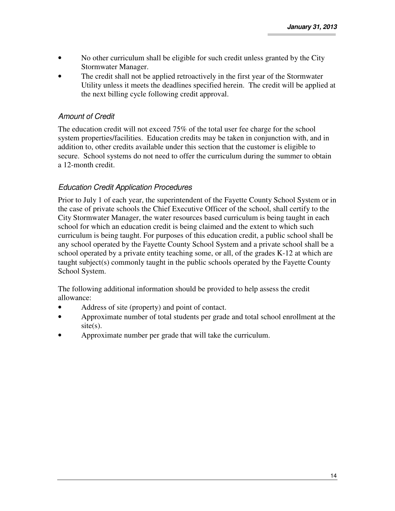- No other curriculum shall be eligible for such credit unless granted by the City Stormwater Manager.
- The credit shall not be applied retroactively in the first year of the Stormwater Utility unless it meets the deadlines specified herein. The credit will be applied at the next billing cycle following credit approval.

## Amount of Credit

The education credit will not exceed 75% of the total user fee charge for the school system properties/facilities. Education credits may be taken in conjunction with, and in addition to, other credits available under this section that the customer is eligible to secure. School systems do not need to offer the curriculum during the summer to obtain a 12-month credit.

## Education Credit Application Procedures

Prior to July 1 of each year, the superintendent of the Fayette County School System or in the case of private schools the Chief Executive Officer of the school, shall certify to the City Stormwater Manager, the water resources based curriculum is being taught in each school for which an education credit is being claimed and the extent to which such curriculum is being taught. For purposes of this education credit, a public school shall be any school operated by the Fayette County School System and a private school shall be a school operated by a private entity teaching some, or all, of the grades K-12 at which are taught subject(s) commonly taught in the public schools operated by the Fayette County School System.

The following additional information should be provided to help assess the credit allowance:

- Address of site (property) and point of contact.
- Approximate number of total students per grade and total school enrollment at the  $site(s)$ .
- Approximate number per grade that will take the curriculum.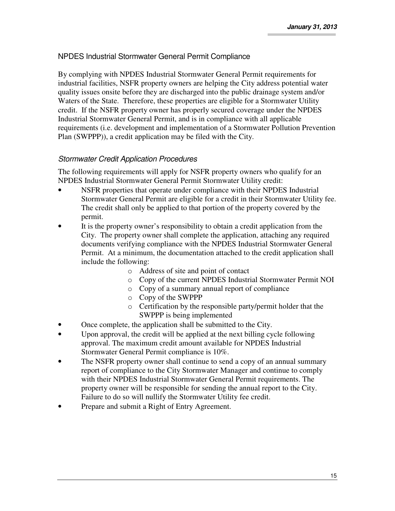## NPDES Industrial Stormwater General Permit Compliance

By complying with NPDES Industrial Stormwater General Permit requirements for industrial facilities, NSFR property owners are helping the City address potential water quality issues onsite before they are discharged into the public drainage system and/or Waters of the State. Therefore, these properties are eligible for a Stormwater Utility credit. If the NSFR property owner has properly secured coverage under the NPDES Industrial Stormwater General Permit, and is in compliance with all applicable requirements (i.e. development and implementation of a Stormwater Pollution Prevention Plan (SWPPP)), a credit application may be filed with the City.

## Stormwater Credit Application Procedures

The following requirements will apply for NSFR property owners who qualify for an NPDES Industrial Stormwater General Permit Stormwater Utility credit:

- NSFR properties that operate under compliance with their NPDES Industrial Stormwater General Permit are eligible for a credit in their Stormwater Utility fee. The credit shall only be applied to that portion of the property covered by the permit.
- It is the property owner's responsibility to obtain a credit application from the City. The property owner shall complete the application, attaching any required documents verifying compliance with the NPDES Industrial Stormwater General Permit. At a minimum, the documentation attached to the credit application shall include the following:
	- o Address of site and point of contact
	- o Copy of the current NPDES Industrial Stormwater Permit NOI
	- o Copy of a summary annual report of compliance
	- o Copy of the SWPPP
	- o Certification by the responsible party/permit holder that the SWPPP is being implemented
- Once complete, the application shall be submitted to the City.
- Upon approval, the credit will be applied at the next billing cycle following approval. The maximum credit amount available for NPDES Industrial Stormwater General Permit compliance is 10%.
- The NSFR property owner shall continue to send a copy of an annual summary report of compliance to the City Stormwater Manager and continue to comply with their NPDES Industrial Stormwater General Permit requirements. The property owner will be responsible for sending the annual report to the City. Failure to do so will nullify the Stormwater Utility fee credit.
- Prepare and submit a Right of Entry Agreement.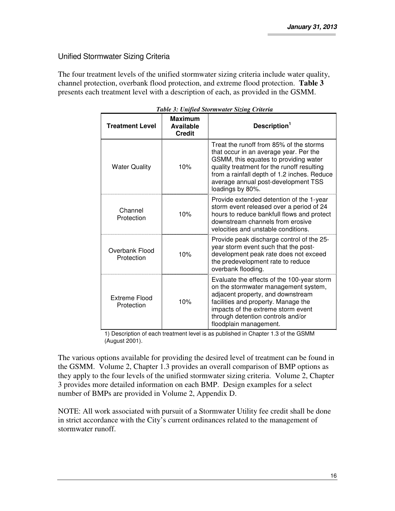## Unified Stormwater Sizing Criteria

The four treatment levels of the unified stormwater sizing criteria include water quality, channel protection, overbank flood protection, and extreme flood protection. **Table 3** presents each treatment level with a description of each, as provided in the GSMM.

| <b>Treatment Level</b>       | <b>Maximum</b><br><b>Available</b><br><b>Credit</b> | Description <sup>1</sup>                                                                                                                                                                                                                                                           |
|------------------------------|-----------------------------------------------------|------------------------------------------------------------------------------------------------------------------------------------------------------------------------------------------------------------------------------------------------------------------------------------|
| <b>Water Quality</b>         | 10%                                                 | Treat the runoff from 85% of the storms<br>that occur in an average year. Per the<br>GSMM, this equates to providing water<br>quality treatment for the runoff resulting<br>from a rainfall depth of 1.2 inches. Reduce<br>average annual post-development TSS<br>loadings by 80%. |
| Channel<br>Protection        | 10%                                                 | Provide extended detention of the 1-year<br>storm event released over a period of 24<br>hours to reduce bankfull flows and protect<br>downstream channels from erosive<br>velocities and unstable conditions.                                                                      |
| Overbank Flood<br>Protection | 10%                                                 | Provide peak discharge control of the 25-<br>year storm event such that the post-<br>development peak rate does not exceed<br>the predevelopment rate to reduce<br>overbank flooding.                                                                                              |
| Extreme Flood<br>Protection  | 10%                                                 | Evaluate the effects of the 100-year storm<br>on the stormwater management system,<br>adjacent property, and downstream<br>facilities and property. Manage the<br>impacts of the extreme storm event<br>through detention controls and/or<br>floodplain management.                |

*Table 3: Unified Stormwater Sizing Criteria* 

1) Description of each treatment level is as published in Chapter 1.3 of the GSMM (August 2001).

The various options available for providing the desired level of treatment can be found in the GSMM. Volume 2, Chapter 1.3 provides an overall comparison of BMP options as they apply to the four levels of the unified stormwater sizing criteria. Volume 2, Chapter 3 provides more detailed information on each BMP. Design examples for a select number of BMPs are provided in Volume 2, Appendix D.

NOTE: All work associated with pursuit of a Stormwater Utility fee credit shall be done in strict accordance with the City's current ordinances related to the management of stormwater runoff.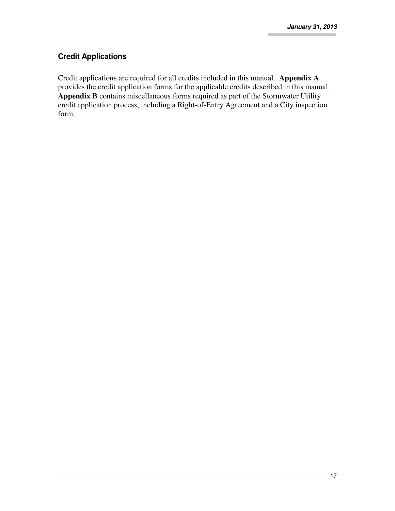## **Credit Applications**

Credit applications are required for all credits included in this manual. **Appendix A** provides the credit application forms for the applicable credits described in this manual. **Appendix B** contains miscellaneous forms required as part of the Stormwater Utility credit application process, including a Right-of-Entry Agreement and a City inspection form.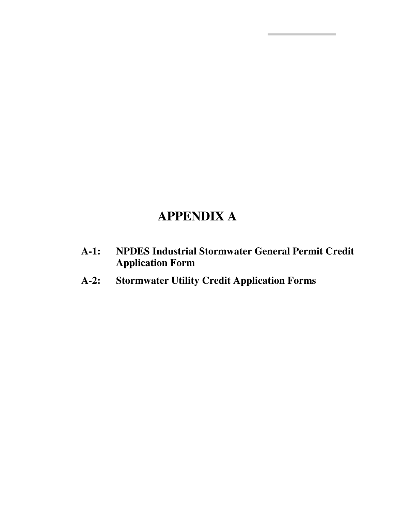## **APPENDIX A**

- **A-1: NPDES Industrial Stormwater General Permit Credit Application Form**
- **A-2: Stormwater Utility Credit Application Forms**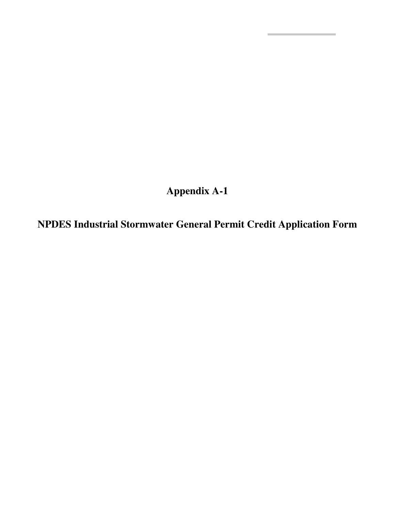**Appendix A-1** 

**NPDES Industrial Stormwater General Permit Credit Application Form**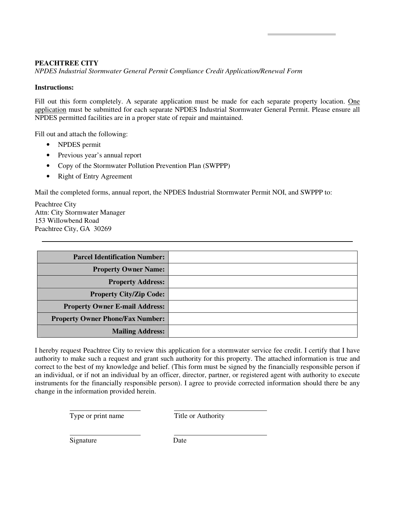*NPDES Industrial Stormwater General Permit Compliance Credit Application/Renewal Form* 

#### **Instructions:**

Fill out this form completely. A separate application must be made for each separate property location. One application must be submitted for each separate NPDES Industrial Stormwater General Permit. Please ensure all NPDES permitted facilities are in a proper state of repair and maintained.

Fill out and attach the following:

- NPDES permit
- Previous year's annual report
- Copy of the Stormwater Pollution Prevention Plan (SWPPP)
- Right of Entry Agreement

Mail the completed forms, annual report, the NPDES Industrial Stormwater Permit NOI, and SWPPP to:

Peachtree City Attn: City Stormwater Manager 153 Willowbend Road Peachtree City, GA 30269

| <b>Parcel Identification Number:</b>    |  |
|-----------------------------------------|--|
| <b>Property Owner Name:</b>             |  |
| <b>Property Address:</b>                |  |
| <b>Property City/Zip Code:</b>          |  |
| <b>Property Owner E-mail Address:</b>   |  |
| <b>Property Owner Phone/Fax Number:</b> |  |
| <b>Mailing Address:</b>                 |  |

I hereby request Peachtree City to review this application for a stormwater service fee credit. I certify that I have authority to make such a request and grant such authority for this property. The attached information is true and correct to the best of my knowledge and belief. (This form must be signed by the financially responsible person if an individual, or if not an individual by an officer, director, partner, or registered agent with authority to execute instruments for the financially responsible person). I agree to provide corrected information should there be any change in the information provided herein.

Type or print name Title or Authority

Signature Date

 $\overline{a}$ 

 $\overline{a}$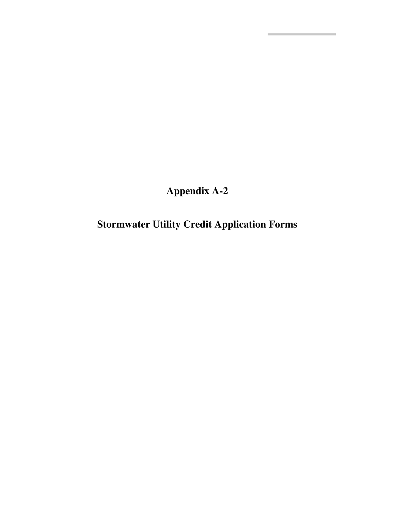**Appendix A-2** 

**Stormwater Utility Credit Application Forms**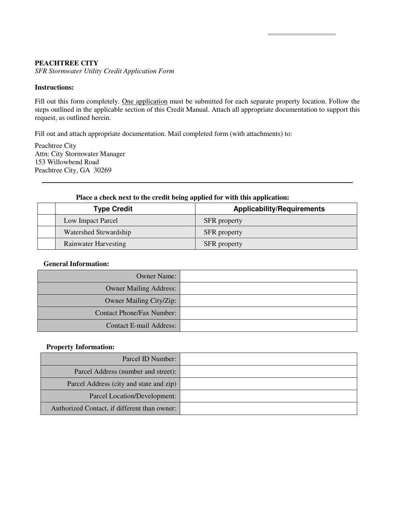*SFR Stormwater Utility Credit Application Form* 

#### **Instructions:**

Fill out this form completely. One application must be submitted for each separate property location. Follow the steps outlined in the applicable section of this Credit Manual. Attach all appropriate documentation to support this request, as outlined herein.

Fill out and attach appropriate documentation. Mail completed form (with attachments) to:

Peachtree City Attn: City Stormwater Manager 153 Willowbend Road Peachtree City, GA 30269

#### **Place a check next to the credit being applied for with this application:**

| <b>Type Credit</b>          | <b>Applicability/Requirements</b> |
|-----------------------------|-----------------------------------|
| Low Impact Parcel           | <b>SFR</b> property               |
| Watershed Stewardship       | <b>SFR</b> property               |
| <b>Rainwater Harvesting</b> | <b>SFR</b> property               |

#### **General Information:**

| <b>Owner Name:</b>               |  |
|----------------------------------|--|
| Owner Mailing Address:           |  |
| Owner Mailing City/Zip:          |  |
| <b>Contact Phone/Fax Number:</b> |  |
| Contact E-mail Address:          |  |

#### **Property Information:**

| Parcel ID Number:                            |  |
|----------------------------------------------|--|
| Parcel Address (number and street):          |  |
| Parcel Address (city and state and zip)      |  |
| Parcel Location/Development:                 |  |
| Authorized Contact, if different than owner: |  |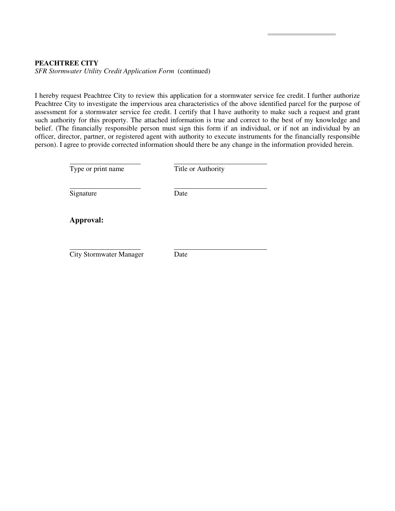*SFR Stormwater Utility Credit Application Form* (continued)

I hereby request Peachtree City to review this application for a stormwater service fee credit. I further authorize Peachtree City to investigate the impervious area characteristics of the above identified parcel for the purpose of assessment for a stormwater service fee credit. I certify that I have authority to make such a request and grant such authority for this property. The attached information is true and correct to the best of my knowledge and belief. (The financially responsible person must sign this form if an individual, or if not an individual by an officer, director, partner, or registered agent with authority to execute instruments for the financially responsible person). I agree to provide corrected information should there be any change in the information provided herein.

| Type or print name             | Title or Authority |  |
|--------------------------------|--------------------|--|
| Signature                      | Date               |  |
| Approval:                      |                    |  |
| <b>City Stormwater Manager</b> | Date               |  |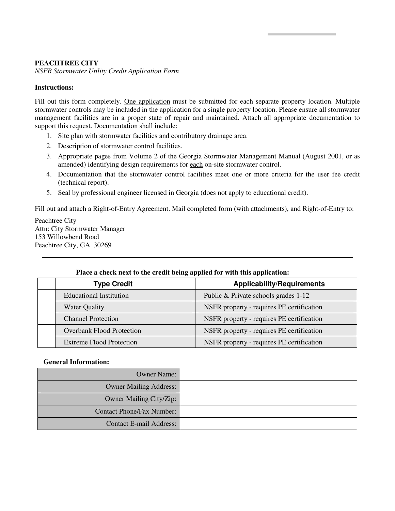*NSFR Stormwater Utility Credit Application Form* 

#### **Instructions:**

Fill out this form completely. One application must be submitted for each separate property location. Multiple stormwater controls may be included in the application for a single property location. Please ensure all stormwater management facilities are in a proper state of repair and maintained. Attach all appropriate documentation to support this request. Documentation shall include:

- 1. Site plan with stormwater facilities and contributory drainage area.
- 2. Description of stormwater control facilities.
- 3. Appropriate pages from Volume 2 of the Georgia Stormwater Management Manual (August 2001, or as amended) identifying design requirements for each on-site stormwater control.
- 4. Documentation that the stormwater control facilities meet one or more criteria for the user fee credit (technical report).
- 5. Seal by professional engineer licensed in Georgia (does not apply to educational credit).

Fill out and attach a Right-of-Entry Agreement. Mail completed form (with attachments), and Right-of-Entry to:

Peachtree City Attn: City Stormwater Manager 153 Willowbend Road Peachtree City, GA 30269

#### **Place a check next to the credit being applied for with this application:**

| $\mathbf{a}$                     |                                           |
|----------------------------------|-------------------------------------------|
| <b>Type Credit</b>               | <b>Applicability/Requirements</b>         |
| <b>Educational Institution</b>   | Public & Private schools grades 1-12      |
| Water Quality                    | NSFR property - requires PE certification |
| <b>Channel Protection</b>        | NSFR property - requires PE certification |
| <b>Overbank Flood Protection</b> | NSFR property - requires PE certification |
| <b>Extreme Flood Protection</b>  | NSFR property - requires PE certification |

#### **General Information:**

| <b>Owner Name:</b>             |  |
|--------------------------------|--|
| <b>Owner Mailing Address:</b>  |  |
| Owner Mailing City/Zip:        |  |
| Contact Phone/Fax Number:      |  |
| <b>Contact E-mail Address:</b> |  |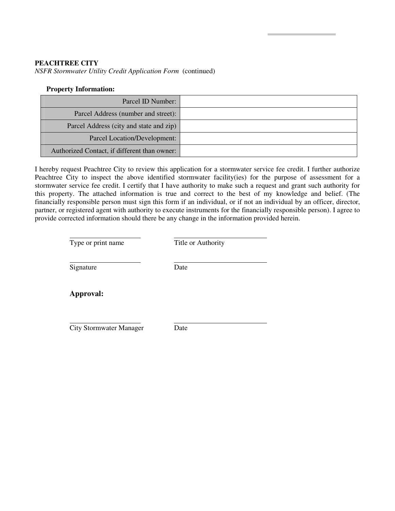*NSFR Stormwater Utility Credit Application Form* (continued)

#### **Property Information:**

| Parcel ID Number:                            |  |
|----------------------------------------------|--|
| Parcel Address (number and street):          |  |
| Parcel Address (city and state and zip)      |  |
| Parcel Location/Development:                 |  |
| Authorized Contact, if different than owner: |  |

I hereby request Peachtree City to review this application for a stormwater service fee credit. I further authorize Peachtree City to inspect the above identified stormwater facility(ies) for the purpose of assessment for a stormwater service fee credit. I certify that I have authority to make such a request and grant such authority for this property. The attached information is true and correct to the best of my knowledge and belief. (The financially responsible person must sign this form if an individual, or if not an individual by an officer, director, partner, or registered agent with authority to execute instruments for the financially responsible person). I agree to provide corrected information should there be any change in the information provided herein.

Type or print name Title or Authority

Signature Date

 $\overline{a}$ 

 $\overline{\phantom{a}}$ 

**Approval:** 

 $\overline{a}$ City Stormwater Manager Date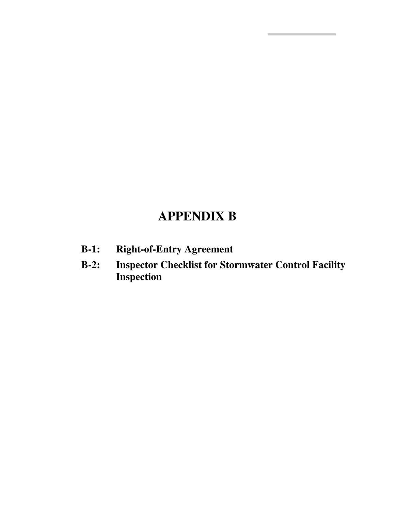## **APPENDIX B**

- **B-1: Right-of-Entry Agreement**
- **B-2: Inspector Checklist for Stormwater Control Facility Inspection**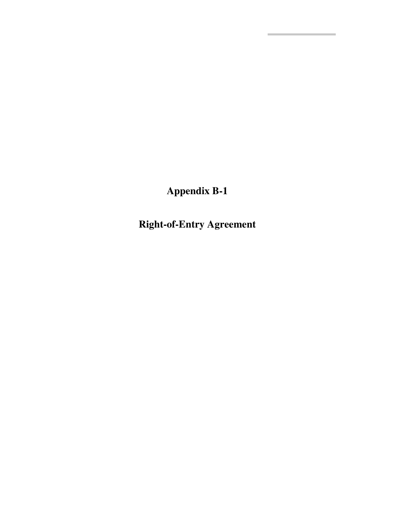**Appendix B-1** 

**Right-of-Entry Agreement**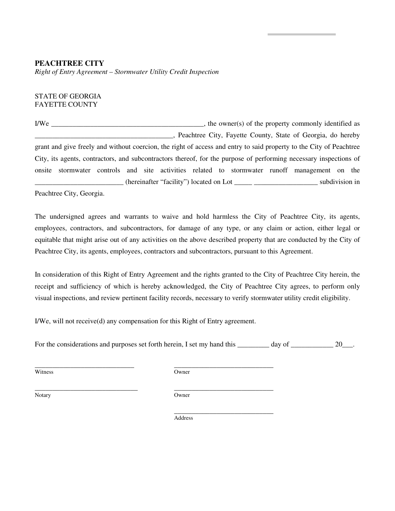*Right of Entry Agreement – Stormwater Utility Credit Inspection* 

#### STATE OF GEORGIA FAYETTE COUNTY

I/We \_\_\_\_\_\_\_\_\_\_\_\_\_\_\_\_\_\_\_\_\_\_\_\_\_\_\_\_\_\_\_\_\_\_\_\_\_\_\_\_\_\_\_, the owner(s) of the property commonly identified as \_\_\_\_\_\_\_\_\_\_\_\_\_\_\_\_\_\_\_\_\_\_\_\_\_\_\_\_\_\_\_\_\_\_\_\_\_\_\_, Peachtree City, Fayette County, State of Georgia, do hereby grant and give freely and without coercion, the right of access and entry to said property to the City of Peachtree City, its agents, contractors, and subcontractors thereof, for the purpose of performing necessary inspections of onsite stormwater controls and site activities related to stormwater runoff management on the (hereinafter "facility") located on Lot subdivision in

Peachtree City, Georgia.

The undersigned agrees and warrants to waive and hold harmless the City of Peachtree City, its agents, employees, contractors, and subcontractors, for damage of any type, or any claim or action, either legal or equitable that might arise out of any activities on the above described property that are conducted by the City of Peachtree City, its agents, employees, contractors and subcontractors, pursuant to this Agreement.

In consideration of this Right of Entry Agreement and the rights granted to the City of Peachtree City herein, the receipt and sufficiency of which is hereby acknowledged, the City of Peachtree City agrees, to perform only visual inspections, and review pertinent facility records, necessary to verify stormwater utility credit eligibility.

I/We, will not receive(d) any compensation for this Right of Entry agreement.

\_\_\_\_\_\_\_\_\_\_\_\_\_\_\_\_\_\_\_\_\_\_\_\_\_\_\_\_\_ \_\_\_\_\_\_\_\_\_\_\_\_\_\_\_\_\_\_\_\_\_\_\_\_\_\_\_\_

For the considerations and purposes set forth herein, I set my hand this day of \_\_\_\_\_\_\_\_ 20\_\_\_.

Witness Owner

\_\_\_\_\_\_\_\_\_\_\_\_\_\_\_\_\_\_\_\_\_\_\_\_\_\_\_\_ \_\_\_\_\_\_\_\_\_\_\_\_\_\_\_\_\_\_\_\_\_\_\_\_\_\_\_\_

Notary **Owner** 

 \_\_\_\_\_\_\_\_\_\_\_\_\_\_\_\_\_\_\_\_\_\_\_\_\_\_\_\_ Address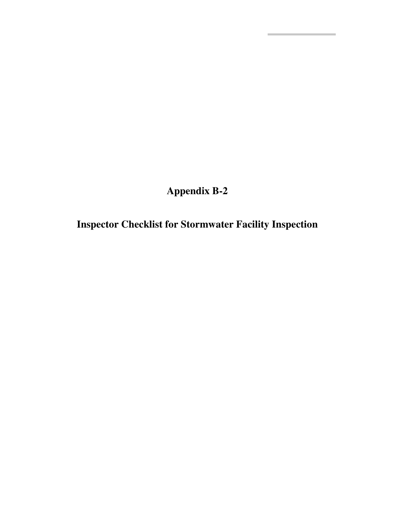**Appendix B-2** 

**Inspector Checklist for Stormwater Facility Inspection**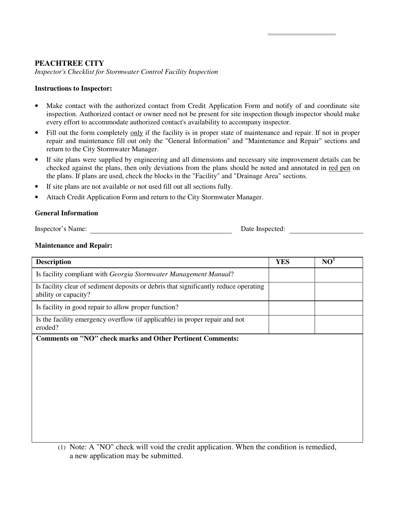*Inspector's Checklist for Stormwater Control Facility Inspection* 

#### **Instructions to Inspector:**

- Make contact with the authorized contact from Credit Application Form and notify of and coordinate site inspection. Authorized contact or owner need not be present for site inspection though inspector should make every effort to accommodate authorized contact's availability to accompany inspector.
- Fill out the form completely only if the facility is in proper state of maintenance and repair. If not in proper repair and maintenance fill out only the "General Information" and "Maintenance and Repair" sections and return to the City Stormwater Manager.
- If site plans were supplied by engineering and all dimensions and necessary site improvement details can be checked against the plans, then only deviations from the plans should be noted and annotated in red pen on the plans. If plans are used, check the blocks in the "Facility" and "Drainage Area" sections.
- If site plans are not available or not used fill out all sections fully.
- Attach Credit Application Form and return to the City Stormwater Manager.

#### **General Information**

Inspector's Name: Date Inspected:

#### **Maintenance and Repair:**

| <b>Description</b>                                                                                           | <b>YES</b> | NO <sup>1</sup> |
|--------------------------------------------------------------------------------------------------------------|------------|-----------------|
| Is facility compliant with Georgia Stormwater Management Manual?                                             |            |                 |
| Is facility clear of sediment deposits or debris that significantly reduce operating<br>ability or capacity? |            |                 |
| Is facility in good repair to allow proper function?                                                         |            |                 |
| Is the facility emergency overflow (if applicable) in proper repair and not<br>eroded?                       |            |                 |
| <b>Comments on "NO" check marks and Other Pertinent Comments:</b>                                            |            |                 |
|                                                                                                              |            |                 |
|                                                                                                              |            |                 |
|                                                                                                              |            |                 |
|                                                                                                              |            |                 |
|                                                                                                              |            |                 |
|                                                                                                              |            |                 |
|                                                                                                              |            |                 |
|                                                                                                              |            |                 |

(1) Note: A "NO" check will void the credit application. When the condition is remedied, a new application may be submitted.